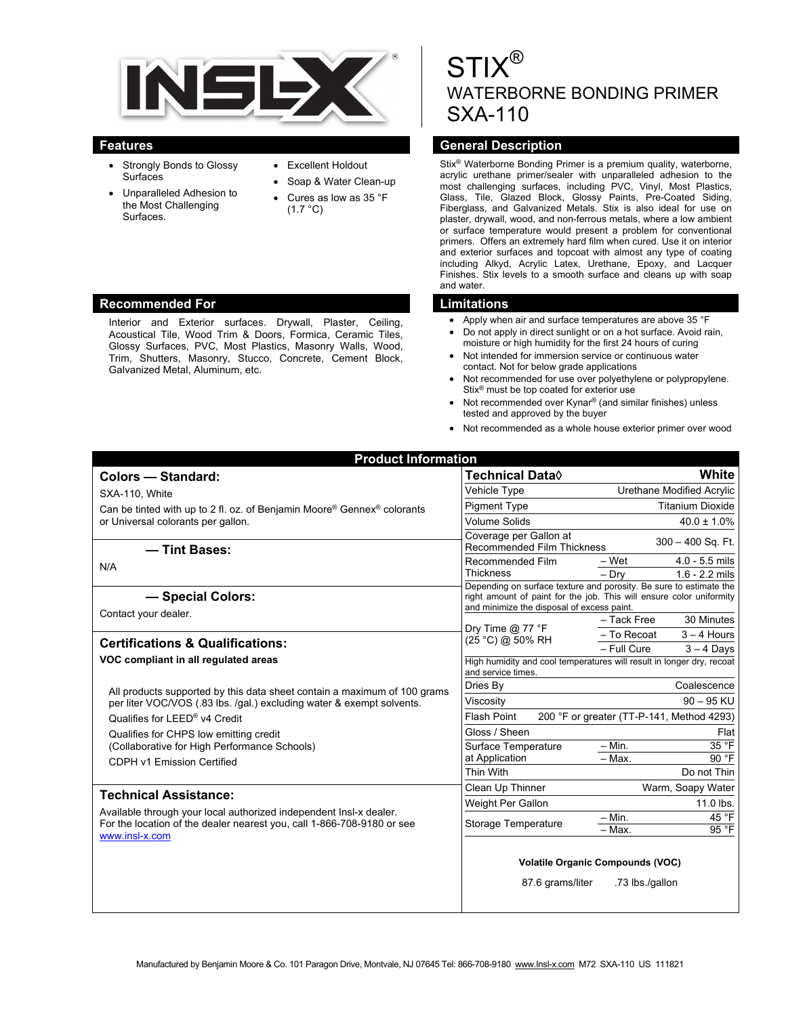

- Strongly Bonds to Glossy Surfaces
- Unparalleled Adhesion to the Most Challenging Surfaces.
- Excellent Holdout
- Soap & Water Clean-up Cures as low as 35 °F
- $(1.7 °C)$

#### **Recommended For Limitations**

Interior and Exterior surfaces. Drywall, Plaster, Ceiling, Acoustical Tile, Wood Trim & Doors, Formica, Ceramic Tiles, Glossy Surfaces, PVC, Most Plastics, Masonry Walls, Wood, Trim, Shutters, Masonry, Stucco, Concrete, Cement Block, Galvanized Metal, Aluminum, etc.

# $\mathcal{S}$ WATERBORNE BONDING PRIMER SXA-110

### **Features General Description Contract Description Act of Act of Act of Act of Act of Act of Act of Act of Act of Act of Act of Act of Act of Act of Act of Act of Act of Act of Act of Act of Act of Act of Act of Act of Act**

Stix® Waterborne Bonding Primer is a premium quality, waterborne, acrylic urethane primer/sealer with unparalleled adhesion to the most challenging surfaces, including PVC, Vinyl, Most Plastics, Glass, Tile, Glazed Block, Glossy Paints, Pre-Coated Siding, Fiberglass, and Galvanized Metals. Stix is also ideal for use on plaster, drywall, wood, and non-ferrous metals, where a low ambient or surface temperature would present a problem for conventional primers. Offers an extremely hard film when cured. Use it on interior and exterior surfaces and topcoat with almost any type of coating including Alkyd, Acrylic Latex, Urethane, Epoxy, and Lacquer Finishes. Stix levels to a smooth surface and cleans up with soap and water.

- Apply when air and surface temperatures are above 35 °F
- Do not apply in direct sunlight or on a hot surface. Avoid rain, moisture or high humidity for the first 24 hours of curing
- Not intended for immersion service or continuous water contact. Not for below grade applications
- Not recommended for use over polyethylene or polypropylene. Stix® must be top coated for exterior use
- Not recommended over Kynar® (and similar finishes) unless tested and approved by the buyer
- Not recommended as a whole house exterior primer over wood

| <b>Product Information</b>                                                                                                                   |                                                                                                                                                                                          |                                                            |  |
|----------------------------------------------------------------------------------------------------------------------------------------------|------------------------------------------------------------------------------------------------------------------------------------------------------------------------------------------|------------------------------------------------------------|--|
| Colors - Standard:                                                                                                                           | Technical Data◊                                                                                                                                                                          | White                                                      |  |
| SXA-110, White                                                                                                                               | Vehicle Type                                                                                                                                                                             | Urethane Modified Acrylic                                  |  |
| Can be tinted with up to 2 fl. oz. of Benjamin Moore <sup>®</sup> Gennex <sup>®</sup> colorants                                              | <b>Pigment Type</b>                                                                                                                                                                      | <b>Titanium Dioxide</b>                                    |  |
| or Universal colorants per gallon.                                                                                                           | <b>Volume Solids</b>                                                                                                                                                                     | $40.0 \pm 1.0\%$                                           |  |
| - Tint Bases:                                                                                                                                | Coverage per Gallon at<br><b>Recommended Film Thickness</b>                                                                                                                              | $300 - 400$ Sq. Ft.                                        |  |
| N/A                                                                                                                                          | Recommended Film<br><b>Thickness</b>                                                                                                                                                     | - Wet<br>$4.0 - 5.5$ mils<br>$-$ Dry<br>$1.6 - 2.2$ mils   |  |
| - Special Colors:                                                                                                                            | Depending on surface texture and porosity. Be sure to estimate the<br>right amount of paint for the job. This will ensure color uniformity<br>and minimize the disposal of excess paint. |                                                            |  |
| Contact your dealer.                                                                                                                         |                                                                                                                                                                                          | 30 Minutes<br>- Tack Free                                  |  |
| <b>Certifications &amp; Qualifications:</b>                                                                                                  | Dry Time $@$ 77 $^{\circ}$ F<br>(25 °C) @ 50% RH                                                                                                                                         | - To Recoat<br>$3 - 4$ Hours                               |  |
|                                                                                                                                              |                                                                                                                                                                                          | - Full Cure<br>$3 - 4$ Days                                |  |
| VOC compliant in all regulated areas                                                                                                         | High humidity and cool temperatures will result in longer dry, recoat<br>and service times.                                                                                              |                                                            |  |
| All products supported by this data sheet contain a maximum of 100 grams                                                                     | Dries By                                                                                                                                                                                 | Coalescence                                                |  |
| per liter VOC/VOS (.83 lbs. /gal.) excluding water & exempt solvents.                                                                        | Viscosity                                                                                                                                                                                | $90 - 95$ KU                                               |  |
| Qualifies for LEED® v4 Credit                                                                                                                | <b>Flash Point</b><br>200 °F or greater (TT-P-141, Method 4293)                                                                                                                          |                                                            |  |
| Qualifies for CHPS low emitting credit                                                                                                       | Gloss / Sheen                                                                                                                                                                            | Flat                                                       |  |
| (Collaborative for High Performance Schools)                                                                                                 | Surface Temperature                                                                                                                                                                      | 35 °F<br>$-$ Min.<br>90 °F                                 |  |
| CDPH v1 Emission Certified                                                                                                                   | at Application<br>Thin With                                                                                                                                                              | $-$ Max.<br>Do not Thin                                    |  |
|                                                                                                                                              | Clean Up Thinner                                                                                                                                                                         | Warm, Soapy Water                                          |  |
| <b>Technical Assistance:</b>                                                                                                                 | Weight Per Gallon                                                                                                                                                                        | 11.0 lbs.                                                  |  |
| Available through your local authorized independent Insl-x dealer.<br>For the location of the dealer nearest you, call 1-866-708-9180 or see | <b>Storage Temperature</b>                                                                                                                                                               | 45 °F<br>$-$ Min.<br>95 °F<br>- Max.                       |  |
| www.insl-x.com                                                                                                                               | 87.6 grams/liter                                                                                                                                                                         | <b>Volatile Organic Compounds (VOC)</b><br>.73 lbs./gallon |  |